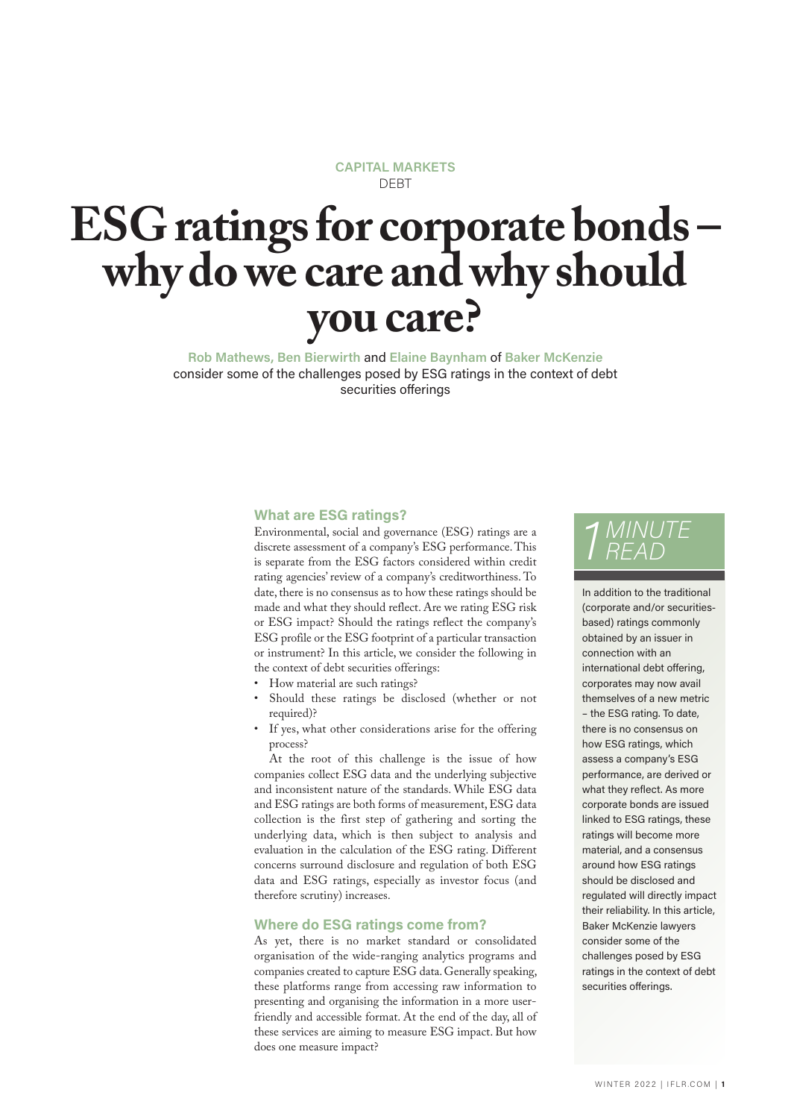#### **CAPITAL MARKETS** DEBT

# **ESG ratings for corporate bonds – why do we care and why should you care?**

**Rob Mathews, Ben Bierwirth** and **Elaine Baynham** of **Baker McKenzie** consider some of the challenges posed by ESG ratings in the context of debt securities offerings

#### **What are ESG ratings?**

Environmental, social and governance (ESG) ratings are a discrete assessment of a company's ESG performance. This is separate from the ESG factors considered within credit rating agencies' review of a company's creditworthiness. To date, there is no consensus as to how these ratings should be made and what they should reflect. Are we rating ESG risk or ESG impact? Should the ratings reflect the company's ESG profile or the ESG footprint of a particular transaction or instrument? In this article, we consider the following in the context of debt securities offerings:

- How material are such ratings?
- Should these ratings be disclosed (whether or not required)?
- If yes, what other considerations arise for the offering process?

At the root of this challenge is the issue of how companies collect ESG data and the underlying subjective and inconsistent nature of the standards. While ESG data and ESG ratings are both forms of measurement, ESG data collection is the first step of gathering and sorting the underlying data, which is then subject to analysis and evaluation in the calculation of the ESG rating. Different concerns surround disclosure and regulation of both ESG data and ESG ratings, especially as investor focus (and therefore scrutiny) increases.

#### **Where do ESG ratings come from?**

As yet, there is no market standard or consolidated organisation of the wide-ranging analytics programs and companies created to capture ESG data. Generally speaking, these platforms range from accessing raw information to presenting and organising the information in a more userfriendly and accessible format. At the end of the day, all of these services are aiming to measure ESG impact. But how does one measure impact?

## *1 MINUTE READ*

In addition to the traditional (corporate and/or securitiesbased) ratings commonly obtained by an issuer in connection with an international debt offering, corporates may now avail themselves of a new metric – the ESG rating. To date, there is no consensus on how ESG ratings, which assess a company's ESG performance, are derived or what they reflect. As more corporate bonds are issued linked to ESG ratings, these ratings will become more material, and a consensus around how ESG ratings should be disclosed and regulated will directly impact their reliability. In this article, Baker McKenzie lawyers consider some of the challenges posed by ESG ratings in the context of debt securities offerings.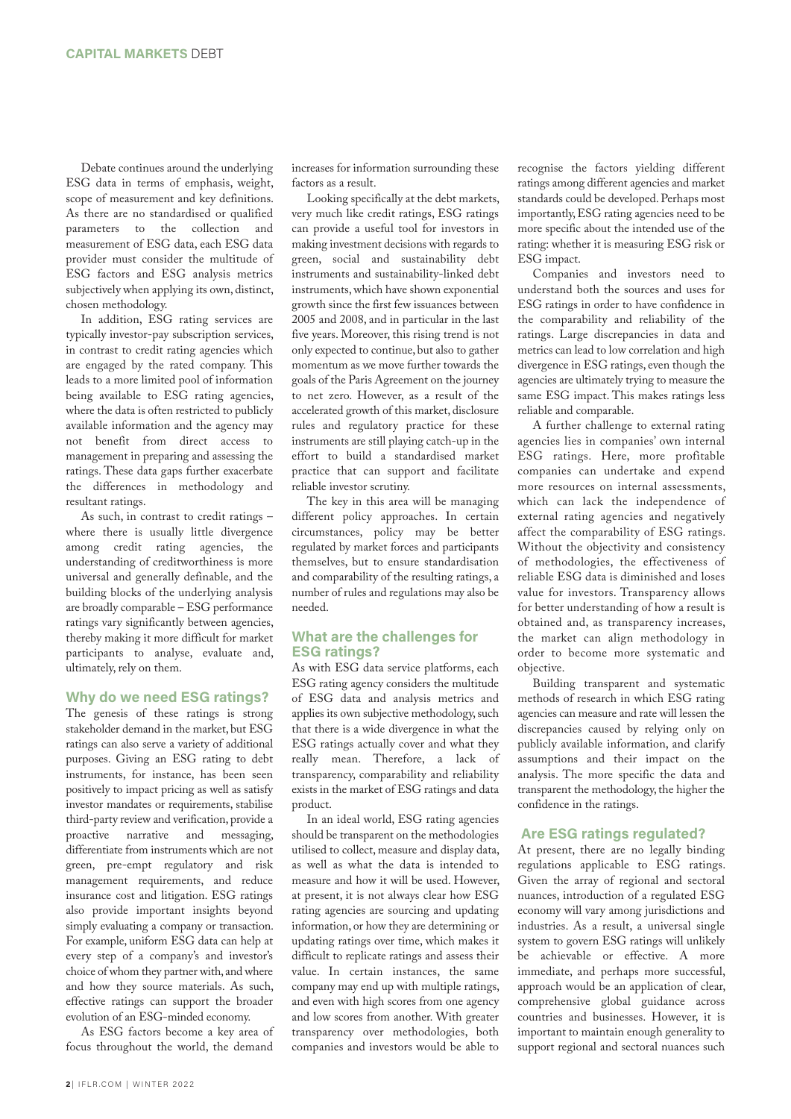Debate continues around the underlying ESG data in terms of emphasis, weight, scope of measurement and key definitions. As there are no standardised or qualified parameters to the collection and measurement of ESG data, each ESG data provider must consider the multitude of ESG factors and ESG analysis metrics subjectively when applying its own, distinct, chosen methodology.

In addition, ESG rating services are typically investor-pay subscription services, in contrast to credit rating agencies which are engaged by the rated company. This leads to a more limited pool of information being available to ESG rating agencies, where the data is often restricted to publicly available information and the agency may not benefit from direct access to management in preparing and assessing the ratings. These data gaps further exacerbate the differences in methodology and resultant ratings.

As such, in contrast to credit ratings – where there is usually little divergence among credit rating agencies, the understanding of creditworthiness is more universal and generally definable, and the building blocks of the underlying analysis are broadly comparable – ESG performance ratings vary significantly between agencies, thereby making it more difficult for market participants to analyse, evaluate and, ultimately, rely on them.

#### **Why do we need ESG ratings?**

The genesis of these ratings is strong stakeholder demand in the market, but ESG ratings can also serve a variety of additional purposes. Giving an ESG rating to debt instruments, for instance, has been seen positively to impact pricing as well as satisfy investor mandates or requirements, stabilise third-party review and verification, provide a proactive narrative and messaging, differentiate from instruments which are not green, pre-empt regulatory and risk management requirements, and reduce insurance cost and litigation. ESG ratings also provide important insights beyond simply evaluating a company or transaction. For example, uniform ESG data can help at every step of a company's and investor's choice of whom they partner with, and where and how they source materials. As such, effective ratings can support the broader evolution of an ESG-minded economy.

As ESG factors become a key area of focus throughout the world, the demand

increases for information surrounding these factors as a result.

Looking specifically at the debt markets, very much like credit ratings, ESG ratings can provide a useful tool for investors in making investment decisions with regards to green, social and sustainability debt instruments and sustainability-linked debt instruments, which have shown exponential growth since the first few issuances between 2005 and 2008, and in particular in the last five years. Moreover, this rising trend is not only expected to continue, but also to gather momentum as we move further towards the goals of the Paris Agreement on the journey to net zero. However, as a result of the accelerated growth of this market, disclosure rules and regulatory practice for these instruments are still playing catch-up in the effort to build a standardised market practice that can support and facilitate reliable investor scrutiny.

The key in this area will be managing different policy approaches. In certain circumstances, policy may be better regulated by market forces and participants themselves, but to ensure standardisation and comparability of the resulting ratings, a number of rules and regulations may also be needed.

#### **What are the challenges for ESG ratings?**

As with ESG data service platforms, each ESG rating agency considers the multitude of ESG data and analysis metrics and applies its own subjective methodology, such that there is a wide divergence in what the ESG ratings actually cover and what they really mean. Therefore, a lack of transparency, comparability and reliability exists in the market of ESG ratings and data product.

In an ideal world, ESG rating agencies should be transparent on the methodologies utilised to collect, measure and display data, as well as what the data is intended to measure and how it will be used. However, at present, it is not always clear how ESG rating agencies are sourcing and updating information, or how they are determining or updating ratings over time, which makes it difficult to replicate ratings and assess their value. In certain instances, the same company may end up with multiple ratings, and even with high scores from one agency and low scores from another. With greater transparency over methodologies, both companies and investors would be able to

recognise the factors yielding different ratings among different agencies and market standards could be developed. Perhaps most importantly, ESG rating agencies need to be more specific about the intended use of the rating: whether it is measuring ESG risk or ESG impact.

Companies and investors need to understand both the sources and uses for ESG ratings in order to have confidence in the comparability and reliability of the ratings. Large discrepancies in data and metrics can lead to low correlation and high divergence in ESG ratings, even though the agencies are ultimately trying to measure the same ESG impact. This makes ratings less reliable and comparable.

A further challenge to external rating agencies lies in companies' own internal ESG ratings. Here, more profitable companies can undertake and expend more resources on internal assessments, which can lack the independence of external rating agencies and negatively affect the comparability of ESG ratings. Without the objectivity and consistency of methodologies, the effectiveness of reliable ESG data is diminished and loses value for investors. Transparency allows for better understanding of how a result is obtained and, as transparency increases, the market can align methodology in order to become more systematic and objective.

Building transparent and systematic methods of research in which ESG rating agencies can measure and rate will lessen the discrepancies caused by relying only on publicly available information, and clarify assumptions and their impact on the analysis. The more specific the data and transparent the methodology, the higher the confidence in the ratings.

#### **Are ESG ratings regulated?**

At present, there are no legally binding regulations applicable to ESG ratings. Given the array of regional and sectoral nuances, introduction of a regulated ESG economy will vary among jurisdictions and industries. As a result, a universal single system to govern ESG ratings will unlikely be achievable or effective. A more immediate, and perhaps more successful, approach would be an application of clear, comprehensive global guidance across countries and businesses. However, it is important to maintain enough generality to support regional and sectoral nuances such